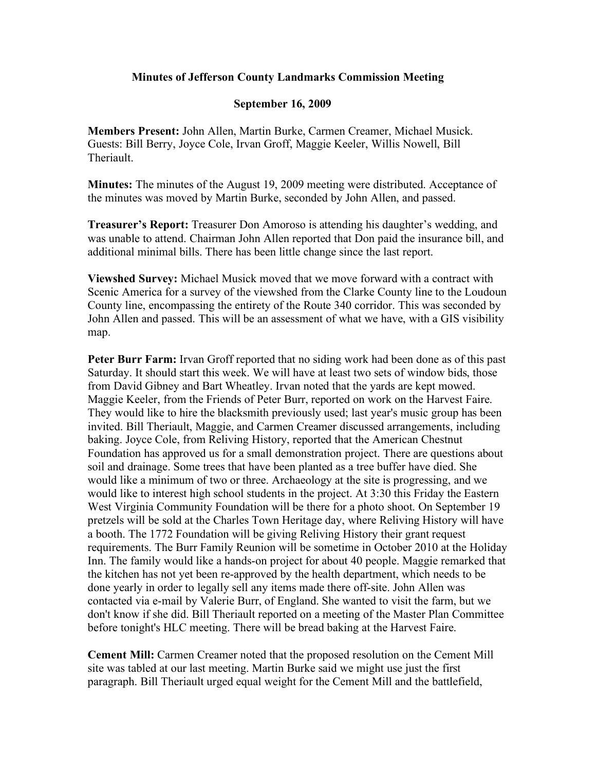## **Minutes of Jefferson County Landmarks Commission Meeting**

## **September 16, 2009**

**Members Present:** John Allen, Martin Burke, Carmen Creamer, Michael Musick. Guests: Bill Berry, Joyce Cole, Irvan Groff, Maggie Keeler, Willis Nowell, Bill **Theriault** 

**Minutes:** The minutes of the August 19, 2009 meeting were distributed. Acceptance of the minutes was moved by Martin Burke, seconded by John Allen, and passed.

**Treasurer's Report:** Treasurer Don Amoroso is attending his daughter's wedding, and was unable to attend. Chairman John Allen reported that Don paid the insurance bill, and additional minimal bills. There has been little change since the last report.

**Viewshed Survey:** Michael Musick moved that we move forward with a contract with Scenic America for a survey of the viewshed from the Clarke County line to the Loudoun County line, encompassing the entirety of the Route 340 corridor. This was seconded by John Allen and passed. This will be an assessment of what we have, with a GIS visibility map.

**Peter Burr Farm:** Irvan Groff reported that no siding work had been done as of this past Saturday. It should start this week. We will have at least two sets of window bids, those from David Gibney and Bart Wheatley. Irvan noted that the yards are kept mowed. Maggie Keeler, from the Friends of Peter Burr, reported on work on the Harvest Faire. They would like to hire the blacksmith previously used; last year's music group has been invited. Bill Theriault, Maggie, and Carmen Creamer discussed arrangements, including baking. Joyce Cole, from Reliving History, reported that the American Chestnut Foundation has approved us for a small demonstration project. There are questions about soil and drainage. Some trees that have been planted as a tree buffer have died. She would like a minimum of two or three. Archaeology at the site is progressing, and we would like to interest high school students in the project. At 3:30 this Friday the Eastern West Virginia Community Foundation will be there for a photo shoot. On September 19 pretzels will be sold at the Charles Town Heritage day, where Reliving History will have a booth. The 1772 Foundation will be giving Reliving History their grant request requirements. The Burr Family Reunion will be sometime in October 2010 at the Holiday Inn. The family would like a hands-on project for about 40 people. Maggie remarked that the kitchen has not yet been re-approved by the health department, which needs to be done yearly in order to legally sell any items made there off-site. John Allen was contacted via e-mail by Valerie Burr, of England. She wanted to visit the farm, but we don't know if she did. Bill Theriault reported on a meeting of the Master Plan Committee before tonight's HLC meeting. There will be bread baking at the Harvest Faire.

**Cement Mill:** Carmen Creamer noted that the proposed resolution on the Cement Mill site was tabled at our last meeting. Martin Burke said we might use just the first paragraph. Bill Theriault urged equal weight for the Cement Mill and the battlefield,